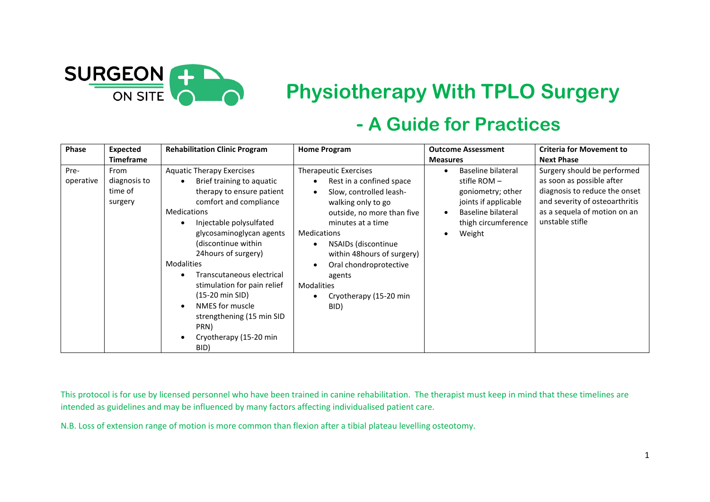

## **Physiotherapy With TPLO Surgery**

## **- A Guide for Practices**

| Phase             | <b>Expected</b><br><b>Timeframe</b>        | <b>Rehabilitation Clinic Program</b>                                                                                                                                                                                                                                                                                                                                                                                                                                                                          | <b>Home Program</b>                                                                                                                                                                                                                                                                                                                             | <b>Outcome Assessment</b><br><b>Measures</b>                                                                                                                 | <b>Criteria for Movement to</b><br><b>Next Phase</b>                                                                                                                           |
|-------------------|--------------------------------------------|---------------------------------------------------------------------------------------------------------------------------------------------------------------------------------------------------------------------------------------------------------------------------------------------------------------------------------------------------------------------------------------------------------------------------------------------------------------------------------------------------------------|-------------------------------------------------------------------------------------------------------------------------------------------------------------------------------------------------------------------------------------------------------------------------------------------------------------------------------------------------|--------------------------------------------------------------------------------------------------------------------------------------------------------------|--------------------------------------------------------------------------------------------------------------------------------------------------------------------------------|
| Pre-<br>operative | From<br>diagnosis to<br>time of<br>surgery | <b>Aquatic Therapy Exercises</b><br>Brief training to aquatic<br>$\bullet$<br>therapy to ensure patient<br>comfort and compliance<br><b>Medications</b><br>Injectable polysulfated<br>$\bullet$<br>glycosaminoglycan agents<br>(discontinue within<br>24 hours of surgery)<br><b>Modalities</b><br>Transcutaneous electrical<br>$\bullet$<br>stimulation for pain relief<br>$(15-20 \text{ min } SID)$<br>NMES for muscle<br>$\bullet$<br>strengthening (15 min SID<br>PRN)<br>Cryotherapy (15-20 min<br>BID) | <b>Therapeutic Exercises</b><br>Rest in a confined space<br>Slow, controlled leash-<br>$\bullet$<br>walking only to go<br>outside, no more than five<br>minutes at a time<br><b>Medications</b><br>NSAIDs (discontinue<br>within 48hours of surgery)<br>Oral chondroprotective<br>agents<br><b>Modalities</b><br>Cryotherapy (15-20 min<br>BID) | Baseline bilateral<br>stifle ROM $-$<br>goniometry; other<br>joints if applicable<br><b>Baseline bilateral</b><br>$\bullet$<br>thigh circumference<br>Weight | Surgery should be performed<br>as soon as possible after<br>diagnosis to reduce the onset<br>and severity of osteoarthritis<br>as a sequela of motion on an<br>unstable stifle |

This protocol is for use by licensed personnel who have been trained in canine rehabilitation. The therapist must keep in mind that these timelines are intended as guidelines and may be influenced by many factors affecting individualised patient care.

N.B. Loss of extension range of motion is more common than flexion after a tibial plateau levelling osteotomy.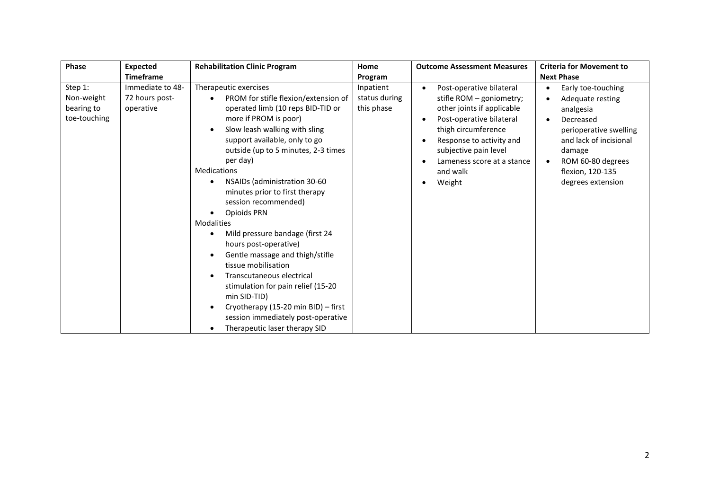| <b>Phase</b>                                        | <b>Expected</b>                                 | <b>Rehabilitation Clinic Program</b>                                                                                                                                                                                                                                                                                                                                                                                                                                                                                                                                                                                                                                                                                        | Home                                     | <b>Outcome Assessment Measures</b>                                                                                                                                                                                                                                       | <b>Criteria for Movement to</b>                                                                                                                                                                                                     |
|-----------------------------------------------------|-------------------------------------------------|-----------------------------------------------------------------------------------------------------------------------------------------------------------------------------------------------------------------------------------------------------------------------------------------------------------------------------------------------------------------------------------------------------------------------------------------------------------------------------------------------------------------------------------------------------------------------------------------------------------------------------------------------------------------------------------------------------------------------------|------------------------------------------|--------------------------------------------------------------------------------------------------------------------------------------------------------------------------------------------------------------------------------------------------------------------------|-------------------------------------------------------------------------------------------------------------------------------------------------------------------------------------------------------------------------------------|
|                                                     | <b>Timeframe</b>                                |                                                                                                                                                                                                                                                                                                                                                                                                                                                                                                                                                                                                                                                                                                                             | Program                                  |                                                                                                                                                                                                                                                                          | <b>Next Phase</b>                                                                                                                                                                                                                   |
| Step 1:<br>Non-weight<br>bearing to<br>toe-touching | Immediate to 48-<br>72 hours post-<br>operative | Therapeutic exercises<br>PROM for stifle flexion/extension of<br>operated limb (10 reps BID-TID or<br>more if PROM is poor)<br>Slow leash walking with sling<br>support available, only to go<br>outside (up to 5 minutes, 2-3 times<br>per day)<br><b>Medications</b><br>NSAIDs (administration 30-60<br>minutes prior to first therapy<br>session recommended)<br>Opioids PRN<br><b>Modalities</b><br>Mild pressure bandage (first 24<br>hours post-operative)<br>Gentle massage and thigh/stifle<br>tissue mobilisation<br>Transcutaneous electrical<br>stimulation for pain relief (15-20<br>min SID-TID)<br>Cryotherapy (15-20 min BID) - first<br>session immediately post-operative<br>Therapeutic laser therapy SID | Inpatient<br>status during<br>this phase | Post-operative bilateral<br>$\bullet$<br>stifle ROM - goniometry;<br>other joints if applicable<br>Post-operative bilateral<br>$\bullet$<br>thigh circumference<br>Response to activity and<br>subjective pain level<br>Lameness score at a stance<br>and walk<br>Weight | Early toe-touching<br>$\bullet$<br>Adequate resting<br>analgesia<br>Decreased<br>$\bullet$<br>perioperative swelling<br>and lack of incisional<br>damage<br>ROM 60-80 degrees<br>$\bullet$<br>flexion, 120-135<br>degrees extension |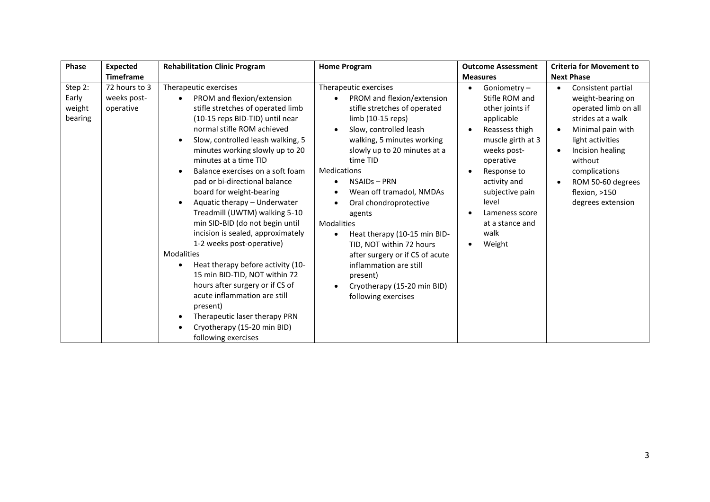| Phase                                 | Expected                                  | <b>Rehabilitation Clinic Program</b>                                                                                                                                                                                                                                                                                                                                                                                                                                                                                                                                                                                                                                                                                                                                                        | <b>Home Program</b>                                                                                                                                                                                                                                                                                                                                                                                                                                                                                                              | <b>Outcome Assessment</b>                                                                                                                                                                                                                                        | <b>Criteria for Movement to</b>                                                                                                                                                                                                                                                              |
|---------------------------------------|-------------------------------------------|---------------------------------------------------------------------------------------------------------------------------------------------------------------------------------------------------------------------------------------------------------------------------------------------------------------------------------------------------------------------------------------------------------------------------------------------------------------------------------------------------------------------------------------------------------------------------------------------------------------------------------------------------------------------------------------------------------------------------------------------------------------------------------------------|----------------------------------------------------------------------------------------------------------------------------------------------------------------------------------------------------------------------------------------------------------------------------------------------------------------------------------------------------------------------------------------------------------------------------------------------------------------------------------------------------------------------------------|------------------------------------------------------------------------------------------------------------------------------------------------------------------------------------------------------------------------------------------------------------------|----------------------------------------------------------------------------------------------------------------------------------------------------------------------------------------------------------------------------------------------------------------------------------------------|
|                                       | <b>Timeframe</b>                          |                                                                                                                                                                                                                                                                                                                                                                                                                                                                                                                                                                                                                                                                                                                                                                                             |                                                                                                                                                                                                                                                                                                                                                                                                                                                                                                                                  | <b>Measures</b>                                                                                                                                                                                                                                                  | <b>Next Phase</b>                                                                                                                                                                                                                                                                            |
| Step 2:<br>Early<br>weight<br>bearing | 72 hours to 3<br>weeks post-<br>operative | Therapeutic exercises<br>PROM and flexion/extension<br>stifle stretches of operated limb<br>(10-15 reps BID-TID) until near<br>normal stifle ROM achieved<br>Slow, controlled leash walking, 5<br>minutes working slowly up to 20<br>minutes at a time TID<br>Balance exercises on a soft foam<br>pad or bi-directional balance<br>board for weight-bearing<br>Aquatic therapy - Underwater<br>Treadmill (UWTM) walking 5-10<br>min SID-BID (do not begin until<br>incision is sealed, approximately<br>1-2 weeks post-operative)<br>Modalities<br>Heat therapy before activity (10-<br>15 min BID-TID, NOT within 72<br>hours after surgery or if CS of<br>acute inflammation are still<br>present)<br>Therapeutic laser therapy PRN<br>Cryotherapy (15-20 min BID)<br>following exercises | Therapeutic exercises<br>PROM and flexion/extension<br>stifle stretches of operated<br>limb (10-15 reps)<br>Slow, controlled leash<br>walking, 5 minutes working<br>slowly up to 20 minutes at a<br>time TID<br><b>Medications</b><br>NSAIDs-PRN<br>Wean off tramadol, NMDAs<br>Oral chondroprotective<br>agents<br><b>Modalities</b><br>Heat therapy (10-15 min BID-<br>TID, NOT within 72 hours<br>after surgery or if CS of acute<br>inflammation are still<br>present)<br>Cryotherapy (15-20 min BID)<br>following exercises | Goniometry-<br>$\bullet$<br>Stifle ROM and<br>other joints if<br>applicable<br>Reassess thigh<br>muscle girth at 3<br>weeks post-<br>operative<br>Response to<br>activity and<br>subjective pain<br>level<br>Lameness score<br>at a stance and<br>walk<br>Weight | Consistent partial<br>$\bullet$<br>weight-bearing on<br>operated limb on all<br>strides at a walk<br>Minimal pain with<br>$\bullet$<br>light activities<br>Incision healing<br>$\bullet$<br>without<br>complications<br>ROM 50-60 degrees<br>$\bullet$<br>flexion, >150<br>degrees extension |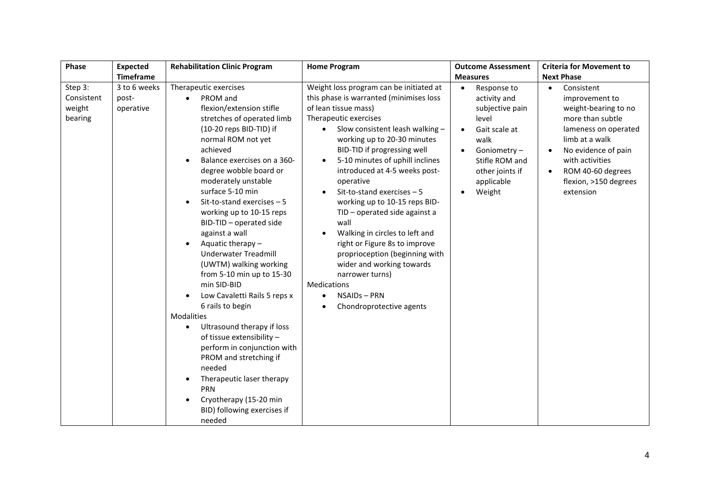| Phase                                      | <b>Expected</b>                    | <b>Rehabilitation Clinic Program</b>                                                                                                                                                                                                                                                                                                                                                                                                                                                                                                                                                                                                                                                                                                                                                                                                         | <b>Home Program</b>                                                                                                                                                                                                                                                                                                                                                                                                                                                                                                                                                                                                                                                                                                    | <b>Outcome Assessment</b>                                                                                                                                                 | <b>Criteria for Movement to</b>                                                                                                                                                                                                                   |
|--------------------------------------------|------------------------------------|----------------------------------------------------------------------------------------------------------------------------------------------------------------------------------------------------------------------------------------------------------------------------------------------------------------------------------------------------------------------------------------------------------------------------------------------------------------------------------------------------------------------------------------------------------------------------------------------------------------------------------------------------------------------------------------------------------------------------------------------------------------------------------------------------------------------------------------------|------------------------------------------------------------------------------------------------------------------------------------------------------------------------------------------------------------------------------------------------------------------------------------------------------------------------------------------------------------------------------------------------------------------------------------------------------------------------------------------------------------------------------------------------------------------------------------------------------------------------------------------------------------------------------------------------------------------------|---------------------------------------------------------------------------------------------------------------------------------------------------------------------------|---------------------------------------------------------------------------------------------------------------------------------------------------------------------------------------------------------------------------------------------------|
|                                            | <b>Timeframe</b>                   |                                                                                                                                                                                                                                                                                                                                                                                                                                                                                                                                                                                                                                                                                                                                                                                                                                              |                                                                                                                                                                                                                                                                                                                                                                                                                                                                                                                                                                                                                                                                                                                        | <b>Measures</b>                                                                                                                                                           | <b>Next Phase</b>                                                                                                                                                                                                                                 |
| Step 3:<br>Consistent<br>weight<br>bearing | 3 to 6 weeks<br>post-<br>operative | Therapeutic exercises<br>PROM and<br>$\bullet$<br>flexion/extension stifle<br>stretches of operated limb<br>(10-20 reps BID-TID) if<br>normal ROM not yet<br>achieved<br>Balance exercises on a 360-<br>degree wobble board or<br>moderately unstable<br>surface 5-10 min<br>Sit-to-stand exercises $-5$<br>working up to 10-15 reps<br>BID-TID - operated side<br>against a wall<br>Aquatic therapy -<br><b>Underwater Treadmill</b><br>(UWTM) walking working<br>from 5-10 min up to 15-30<br>min SID-BID<br>Low Cavaletti Rails 5 reps x<br>6 rails to begin<br>Modalities<br>Ultrasound therapy if loss<br>$\bullet$<br>of tissue extensibility -<br>perform in conjunction with<br>PROM and stretching if<br>needed<br>Therapeutic laser therapy<br>PRN<br>Cryotherapy (15-20 min<br>$\bullet$<br>BID) following exercises if<br>needed | Weight loss program can be initiated at<br>this phase is warranted (minimises loss<br>of lean tissue mass)<br>Therapeutic exercises<br>Slow consistent leash walking -<br>$\bullet$<br>working up to 20-30 minutes<br>BID-TID if progressing well<br>5-10 minutes of uphill inclines<br>$\bullet$<br>introduced at 4-5 weeks post-<br>operative<br>Sit-to-stand exercises $-5$<br>working up to 10-15 reps BID-<br>TID - operated side against a<br>wall<br>Walking in circles to left and<br>$\bullet$<br>right or Figure 8s to improve<br>proprioception (beginning with<br>wider and working towards<br>narrower turns)<br><b>Medications</b><br>NSAIDs - PRN<br>$\bullet$<br>Chondroprotective agents<br>$\bullet$ | Response to<br>$\bullet$<br>activity and<br>subjective pain<br>level<br>Gait scale at<br>walk<br>Goniometry-<br>Stifle ROM and<br>other joints if<br>applicable<br>Weight | Consistent<br>$\bullet$<br>improvement to<br>weight-bearing to no<br>more than subtle<br>lameness on operated<br>limb at a walk<br>No evidence of pain<br>with activities<br>ROM 40-60 degrees<br>$\bullet$<br>flexion, >150 degrees<br>extension |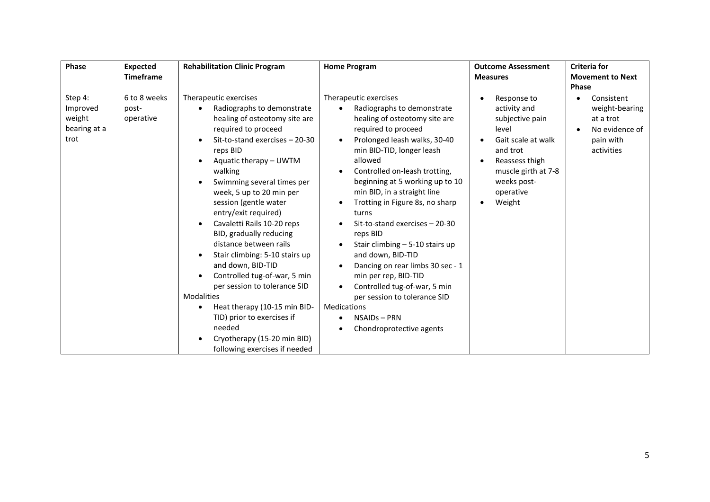| Phase                                                 | <b>Expected</b><br><b>Timeframe</b> | <b>Rehabilitation Clinic Program</b>                                                                                                                                                                                                                                                                                                                                                                                                                                                                                                                                                                                                                                                   | <b>Home Program</b>                                                                                                                                                                                                                                                                                                                                                                                                                                                                                                                                                                                                                                                                                   | <b>Outcome Assessment</b><br><b>Measures</b>                                                                                                                                          | <b>Criteria for</b><br><b>Movement to Next</b><br><b>Phase</b>                         |
|-------------------------------------------------------|-------------------------------------|----------------------------------------------------------------------------------------------------------------------------------------------------------------------------------------------------------------------------------------------------------------------------------------------------------------------------------------------------------------------------------------------------------------------------------------------------------------------------------------------------------------------------------------------------------------------------------------------------------------------------------------------------------------------------------------|-------------------------------------------------------------------------------------------------------------------------------------------------------------------------------------------------------------------------------------------------------------------------------------------------------------------------------------------------------------------------------------------------------------------------------------------------------------------------------------------------------------------------------------------------------------------------------------------------------------------------------------------------------------------------------------------------------|---------------------------------------------------------------------------------------------------------------------------------------------------------------------------------------|----------------------------------------------------------------------------------------|
| Step 4:<br>Improved<br>weight<br>bearing at a<br>trot | 6 to 8 weeks<br>post-<br>operative  | Therapeutic exercises<br>Radiographs to demonstrate<br>healing of osteotomy site are<br>required to proceed<br>Sit-to-stand exercises - 20-30<br>reps BID<br>Aquatic therapy - UWTM<br>walking<br>Swimming several times per<br>week, 5 up to 20 min per<br>session (gentle water<br>entry/exit required)<br>Cavaletti Rails 10-20 reps<br>$\bullet$<br>BID, gradually reducing<br>distance between rails<br>Stair climbing: 5-10 stairs up<br>and down, BID-TID<br>Controlled tug-of-war, 5 min<br>per session to tolerance SID<br>Modalities<br>Heat therapy (10-15 min BID-<br>TID) prior to exercises if<br>needed<br>Cryotherapy (15-20 min BID)<br>following exercises if needed | Therapeutic exercises<br>Radiographs to demonstrate<br>healing of osteotomy site are<br>required to proceed<br>Prolonged leash walks, 30-40<br>$\bullet$<br>min BID-TID, longer leash<br>allowed<br>Controlled on-leash trotting,<br>$\bullet$<br>beginning at 5 working up to 10<br>min BID, in a straight line<br>Trotting in Figure 8s, no sharp<br>٠<br>turns<br>Sit-to-stand exercises - 20-30<br>reps BID<br>Stair climbing $-5-10$ stairs up<br>and down, BID-TID<br>Dancing on rear limbs 30 sec - 1<br>$\bullet$<br>min per rep, BID-TID<br>Controlled tug-of-war, 5 min<br>$\bullet$<br>per session to tolerance SID<br><b>Medications</b><br>NSAIDs - PRN<br>Chondroprotective agents<br>٠ | Response to<br>activity and<br>subjective pain<br>level<br>Gait scale at walk<br>$\bullet$<br>and trot<br>Reassess thigh<br>muscle girth at 7-8<br>weeks post-<br>operative<br>Weight | Consistent<br>weight-bearing<br>at a trot<br>No evidence of<br>pain with<br>activities |